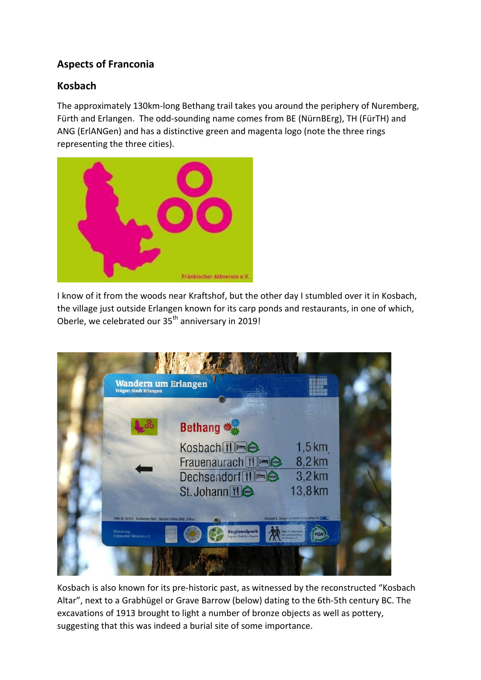## **Aspects of Franconia**

## **Kosbach**

The approximately 130km-long Bethang trail takes you around the periphery of Nuremberg, Fürth and Erlangen. The odd-sounding name comes from BE (NürnBErg), TH (FürTH) and ANG (ErlANGen) and has a distinctive green and magenta logo (note the three rings representing the three cities).



I know of it from the woods near Kraftshof, but the other day I stumbled over it in Kosbach, the village just outside Erlangen known for its carp ponds and restaurants, in one of which, Oberle, we celebrated our 35<sup>th</sup> anniversary in 2019!

| Wandern um Erlangen<br><b>Träger: Stadt Erlangen</b>          |                                             | stadt i rlans                                 |  |
|---------------------------------------------------------------|---------------------------------------------|-----------------------------------------------|--|
|                                                               |                                             |                                               |  |
|                                                               | <b>Bethang **</b>                           |                                               |  |
|                                                               | Kosbach TIEG                                | $1,5$ km                                      |  |
|                                                               | Frauenaurach <sup>[1]</sup>                 | 8,2 km                                        |  |
|                                                               | Dechsendorf [1]                             | 3,2km                                         |  |
|                                                               | St. Johann 10                               | 13,8 km                                       |  |
| Tafel-Nr. 05429 - Kosbacher Altar - Standort-Höhe (NN): 314 m |                                             | Konzept & Design. Schedier Consulting KG SIIC |  |
| Markierung:<br>Fränkischer Albverein e.V.                     | Regionalpark<br>Promitz . Rednitz . Regnitz | <b>Gentle Tar Middlettsdam</b><br>प्रत        |  |
|                                                               |                                             |                                               |  |

Kosbach is also known for its pre-historic past, as witnessed by the reconstructed "Kosbach Altar", next to a Grabhügel or Grave Barrow (below) dating to the 6th-5th century BC. The excavations of 1913 brought to light a number of bronze objects as well as pottery, suggesting that this was indeed a burial site of some importance.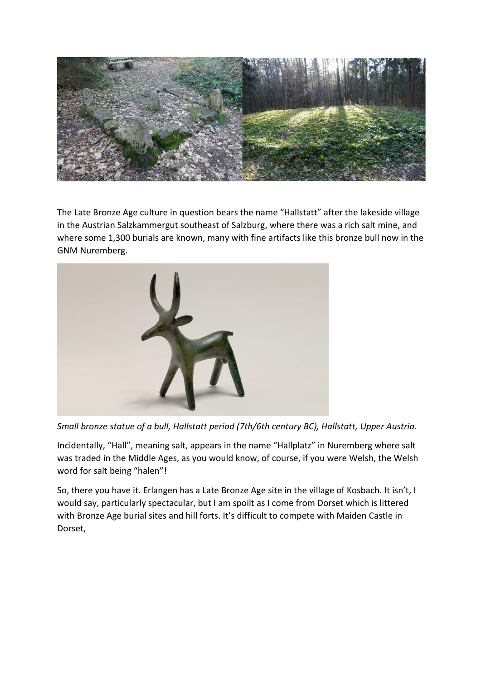

The Late Bronze Age culture in question bears the name "Hallstatt" after the lakeside village in the Austrian Salzkammergut southeast of Salzburg, where there was a rich salt mine, and where some 1,300 burials are known, many with fine artifacts like this bronze bull now in the GNM Nuremberg.



*Small bronze statue of a bull, Hallstatt period (7th/6th century BC), Hallstatt, Upper Austria.*

Incidentally, "Hall", meaning salt, appears in the name "Hallplatz" in Nuremberg where salt was traded in the Middle Ages, as you would know, of course, if you were Welsh, the Welsh word for salt being "halen"!

So, there you have it. Erlangen has a Late Bronze Age site in the village of Kosbach. It isn't, I would say, particularly spectacular, but I am spoilt as I come from Dorset which is littered with Bronze Age burial sites and hill forts. It's difficult to compete with Maiden Castle in Dorset,